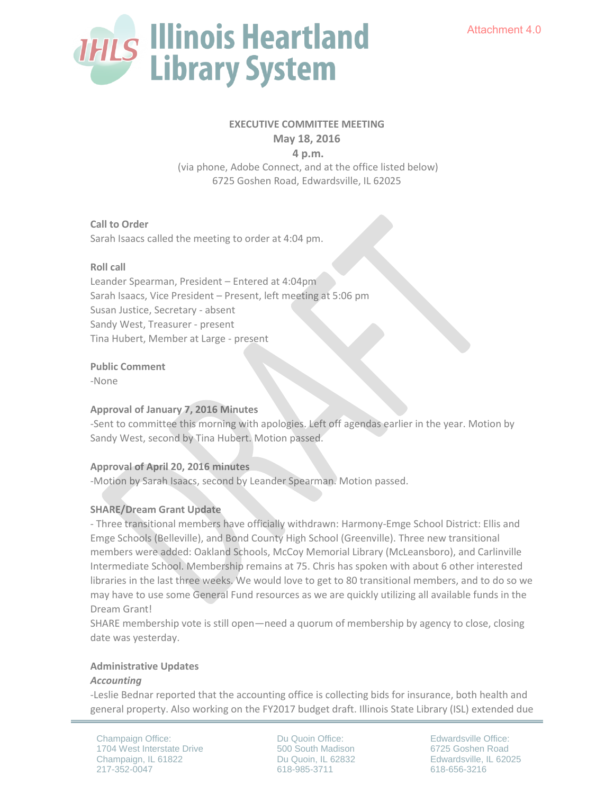

# **EXECUTIVE COMMITTEE MEETING**

**May 18, 2016** 

 **4 p.m.** 

 (via phone, Adobe Connect, and at the office listed below) 6725 Goshen Road, Edwardsville, IL 62025

**Call to Order** Sarah Isaacs called the meeting to order at 4:04 pm.

## **Roll call**

Leander Spearman, President – Entered at 4:04pm Sarah Isaacs, Vice President – Present, left meeting at 5:06 pm Susan Justice, Secretary - absent Sandy West, Treasurer - present Tina Hubert, Member at Large - present

**Public Comment**

-None

#### **Approval of January 7, 2016 Minutes**

-Sent to committee this morning with apologies. Left off agendas earlier in the year. Motion by Sandy West, second by Tina Hubert. Motion passed.

# **Approval of April 20, 2016 minutes**

-Motion by Sarah Isaacs, second by Leander Spearman. Motion passed.

# **SHARE/Dream Grant Update**

- Three transitional members have officially withdrawn: Harmony-Emge School District: Ellis and Emge Schools (Belleville), and Bond County High School (Greenville). Three new transitional members were added: Oakland Schools, McCoy Memorial Library (McLeansboro), and Carlinville Intermediate School. Membership remains at 75. Chris has spoken with about 6 other interested libraries in the last three weeks. We would love to get to 80 transitional members, and to do so we may have to use some General Fund resources as we are quickly utilizing all available funds in the Dream Grant!

SHARE membership vote is still open—need a quorum of membership by agency to close, closing date was yesterday.

#### **Administrative Updates**

#### *Accounting*

-Leslie Bednar reported that the accounting office is collecting bids for insurance, both health and general property. Also working on the FY2017 budget draft. Illinois State Library (ISL) extended due

Champaign Office: 1704 West Interstate Drive Champaign, IL 61822 217-352-0047

Du Quoin Office: 500 South Madison Du Quoin, IL 62832 618-985-3711

Edwardsville Office: 6725 Goshen Road Edwardsville, IL 62025 618-656-3216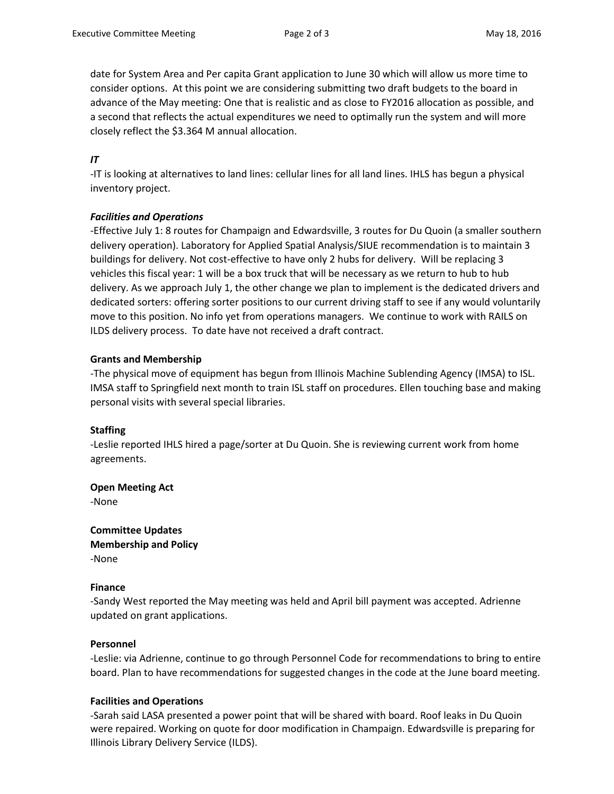date for System Area and Per capita Grant application to June 30 which will allow us more time to consider options. At this point we are considering submitting two draft budgets to the board in advance of the May meeting: One that is realistic and as close to FY2016 allocation as possible, and a second that reflects the actual expenditures we need to optimally run the system and will more closely reflect the \$3.364 M annual allocation.

# *IT*

-IT is looking at alternatives to land lines: cellular lines for all land lines. IHLS has begun a physical inventory project.

## *Facilities and Operations*

-Effective July 1: 8 routes for Champaign and Edwardsville, 3 routes for Du Quoin (a smaller southern delivery operation). Laboratory for Applied Spatial Analysis/SIUE recommendation is to maintain 3 buildings for delivery. Not cost-effective to have only 2 hubs for delivery. Will be replacing 3 vehicles this fiscal year: 1 will be a box truck that will be necessary as we return to hub to hub delivery. As we approach July 1, the other change we plan to implement is the dedicated drivers and dedicated sorters: offering sorter positions to our current driving staff to see if any would voluntarily move to this position. No info yet from operations managers. We continue to work with RAILS on ILDS delivery process. To date have not received a draft contract.

## **Grants and Membership**

-The physical move of equipment has begun from Illinois Machine Sublending Agency (IMSA) to ISL. IMSA staff to Springfield next month to train ISL staff on procedures. Ellen touching base and making personal visits with several special libraries.

#### **Staffing**

-Leslie reported IHLS hired a page/sorter at Du Quoin. She is reviewing current work from home agreements.

**Open Meeting Act**

-None

**Committee Updates Membership and Policy** -None

#### **Finance**

-Sandy West reported the May meeting was held and April bill payment was accepted. Adrienne updated on grant applications.

#### **Personnel**

-Leslie: via Adrienne, continue to go through Personnel Code for recommendations to bring to entire board. Plan to have recommendations for suggested changes in the code at the June board meeting.

# **Facilities and Operations**

-Sarah said LASA presented a power point that will be shared with board. Roof leaks in Du Quoin were repaired. Working on quote for door modification in Champaign. Edwardsville is preparing for Illinois Library Delivery Service (ILDS).